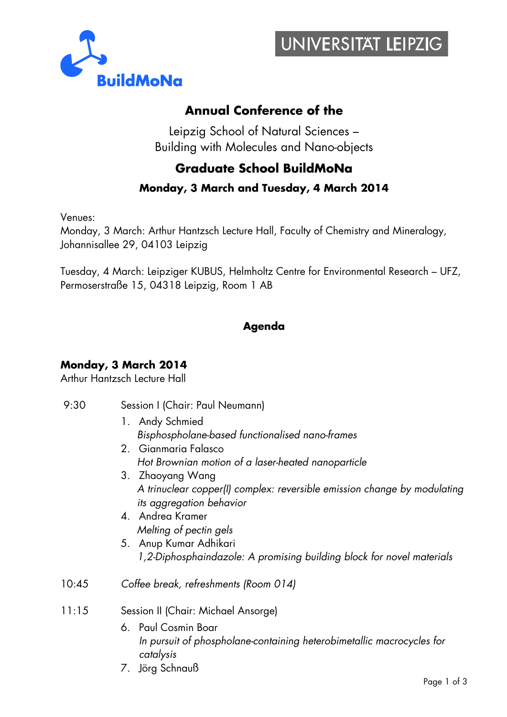

# **UNIVERSITAT LEIPZIG**

## **Annual Conference of the**

Leipzig School of Natural Sciences – Building with Molecules and Nano-objects

# **Graduate School BuildMoNa**

#### **Monday, 3 March and Tuesday, 4 March 2014**

Venues:

Monday, 3 March: Arthur Hantzsch Lecture Hall, Faculty of Chemistry and Mineralogy, Johannisallee 29, 04103 Leipzig

Tuesday, 4 March: Leipziger KUBUS, Helmholtz Centre for Environmental Research – UFZ, Permoserstraße 15, 04318 Leipzig, Room 1 AB

#### **Agenda**

#### **Monday, 3 March 2014**

Arthur Hantzsch Lecture Hall

- 9:30 Session I (Chair: Paul Neumann)
	- 1. Andy Schmied *Bisphospholane*-*based functionalised nano*-*frames*
	- 2. Gianmaria Falasco *Hot Brownian motion of a laser*-*heated nanoparticle*
	- 3. Zhaoyang Wang *A trinuclear copper(I) complex: reversible emission change by modulating its aggregation behavior*
	- 4. Andrea Kramer *Melting of pectin gels*
	- 5. Anup Kumar Adhikari *1,2*-*Diphosphaindazole: A promising building block for novel materials*
- 10:45 *Coffee break, refreshments (Room 014)*
- 11:15 Session II (Chair: Michael Ansorge)
	- 6. Paul Cosmin Boar *In pursuit of phospholane*-*containing heterobimetallic macrocycles for catalysis*
	- 7. Jörg Schnauß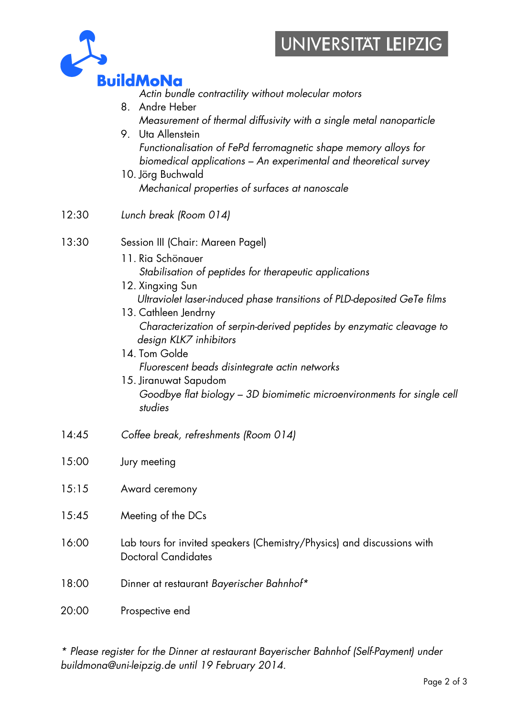



*Actin bundle contractility without molecular motors*

- 8. Andre Heber *Measurement of thermal diffusivity with a single metal nanoparticle* 9. Uta Allenstein *Functionalisation of FePd ferromagnetic shape memory alloys for biomedical applications – An experimental and theoretical survey*  10. Jörg Buchwald *Mechanical properties of surfaces at nanoscale* 12:30 *Lunch break (Room 014)* 13:30 Session III (Chair: Mareen Pagel) 11. Ria Schönauer *Stabilisation of peptides for therapeutic applications* 12. Xingxing Sun *Ultraviolet laser*-*induced phase transitions of PLD*-*deposited GeTe films* 13. Cathleen Jendrny *Characterization of serpin*-*derived peptides by enzymatic cleavage to* 
	- *design KLK7 inhibitors* 14. Tom Golde *Fluorescent beads disintegrate actin networks*
	- 15. Jiranuwat Sapudom *Goodbye flat biology – 3D biomimetic microenvironments for single cell studies*
- 14:45 *Coffee break, refreshments (Room 014)*
- 15:00 Jury meeting
- 15:15 Award ceremony
- 15:45 Meeting of the DCs
- 16:00 Lab tours for invited speakers (Chemistry/Physics) and discussions with Doctoral Candidates
- 18:00 Dinner at restaurant *Bayerischer Bahnhof\**
- 20:00 Prospective end

*\* Please register for the Dinner at restaurant Bayerischer Bahnhof (Self*-*Payment) under buildmona@uni*-*leipzig.de until 19 February 2014.*